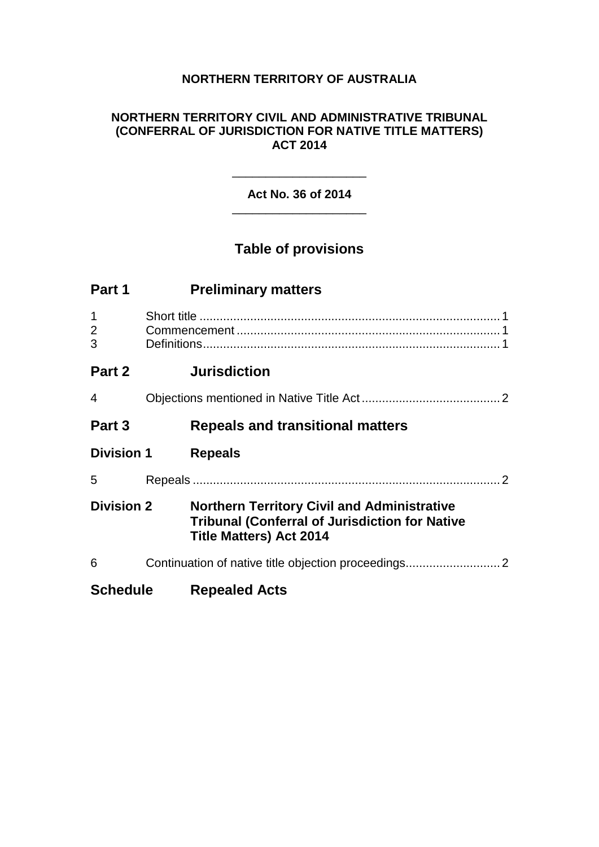## **NORTHERN TERRITORY OF AUSTRALIA**

#### **NORTHERN TERRITORY CIVIL AND ADMINISTRATIVE TRIBUNAL (CONFERRAL OF JURISDICTION FOR NATIVE TITLE MATTERS) ACT 2014**

#### **Act No. 36 of 2014** \_\_\_\_\_\_\_\_\_\_\_\_\_\_\_\_\_\_\_\_

\_\_\_\_\_\_\_\_\_\_\_\_\_\_\_\_\_\_\_\_

# **Table of provisions**

| Part 1                   | <b>Preliminary matters</b>                                                                                                                    |
|--------------------------|-----------------------------------------------------------------------------------------------------------------------------------------------|
| 1<br>$\overline{2}$<br>3 |                                                                                                                                               |
| Part 2                   | <b>Jurisdiction</b>                                                                                                                           |
| 4                        |                                                                                                                                               |
| Part 3                   | <b>Repeals and transitional matters</b>                                                                                                       |
| <b>Division 1</b>        | <b>Repeals</b>                                                                                                                                |
| 5                        |                                                                                                                                               |
| <b>Division 2</b>        | <b>Northern Territory Civil and Administrative</b><br><b>Tribunal (Conferral of Jurisdiction for Native</b><br><b>Title Matters) Act 2014</b> |
| 6                        |                                                                                                                                               |
| <b>Schedule</b>          | <b>Repealed Acts</b>                                                                                                                          |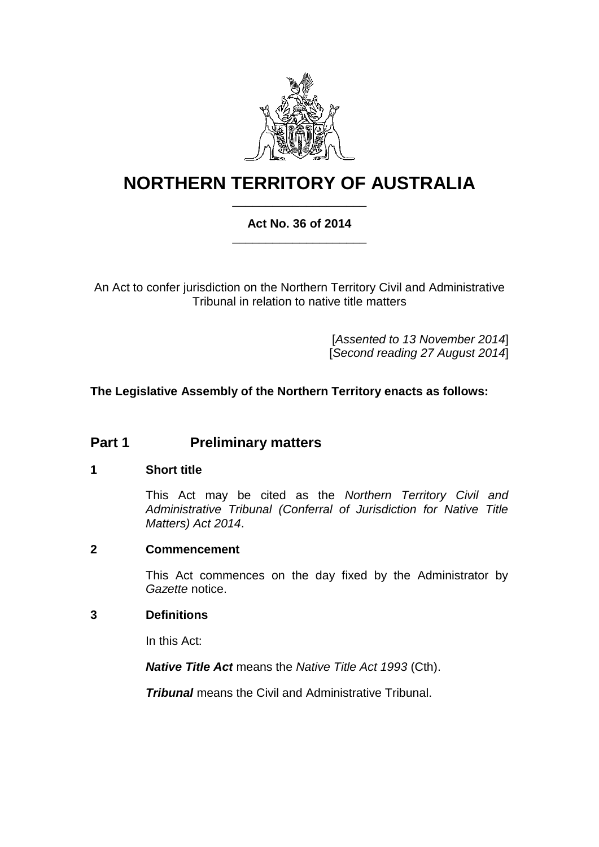

# **NORTHERN TERRITORY OF AUSTRALIA** \_\_\_\_\_\_\_\_\_\_\_\_\_\_\_\_\_\_\_\_

### **Act No. 36 of 2014** \_\_\_\_\_\_\_\_\_\_\_\_\_\_\_\_\_\_\_\_

An Act to confer jurisdiction on the Northern Territory Civil and Administrative Tribunal in relation to native title matters

> [*Assented to 13 November 2014*] [*Second reading 27 August 2014*]

## **The Legislative Assembly of the Northern Territory enacts as follows:**

## **Part 1 Preliminary matters**

#### **1 Short title**

This Act may be cited as the *Northern Territory Civil and Administrative Tribunal (Conferral of Jurisdiction for Native Title Matters) Act 2014*.

#### **2 Commencement**

This Act commences on the day fixed by the Administrator by *Gazette* notice.

#### **3 Definitions**

In this Act:

*Native Title Act* means the *Native Title Act 1993* (Cth).

*Tribunal* means the Civil and Administrative Tribunal.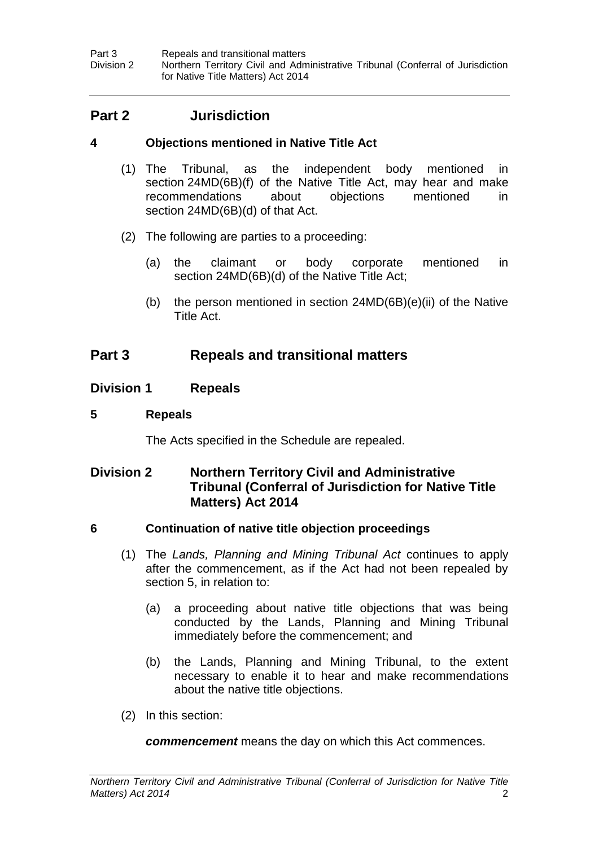Part 3 **Repeals and transitional matters**<br>
Division 2 **Northern Territory Civil and Adm** Northern Territory Civil and Administrative Tribunal (Conferral of Jurisdiction for Native Title Matters) Act 2014

## **Part 2 Jurisdiction**

### **4 Objections mentioned in Native Title Act**

- (1) The Tribunal, as the independent body mentioned in section 24MD(6B)(f) of the Native Title Act, may hear and make recommendations about objections mentioned in section 24MD(6B)(d) of that Act.
- (2) The following are parties to a proceeding:
	- (a) the claimant or body corporate mentioned in section 24MD(6B)(d) of the Native Title Act;
	- (b) the person mentioned in section 24MD(6B)(e)(ii) of the Native Title Act.

## **Part 3 Repeals and transitional matters**

#### **Division 1 Repeals**

#### <span id="page-3-0"></span>**5 Repeals**

The Acts specified in the Schedule are repealed.

## **Division 2 Northern Territory Civil and Administrative Tribunal (Conferral of Jurisdiction for Native Title Matters) Act 2014**

#### **6 Continuation of native title objection proceedings**

- (1) The *Lands, Planning and Mining Tribunal Act* continues to apply after the commencement, as if the Act had not been repealed by section 5, in relation to:
	- (a) a proceeding about native title objections that was being conducted by the Lands, Planning and Mining Tribunal immediately before the commencement; and
	- (b) the Lands, Planning and Mining Tribunal, to the extent necessary to enable it to hear and make recommendations about the native title objections.
- (2) In this section:

*commencement* means the day on which this Act commences.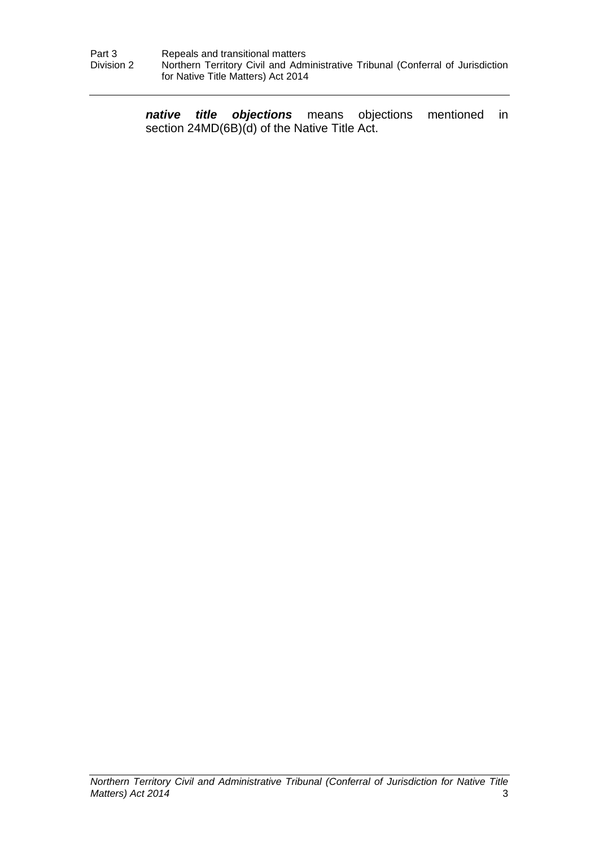*native title objections* means objections mentioned in section 24MD(6B)(d) of the Native Title Act.